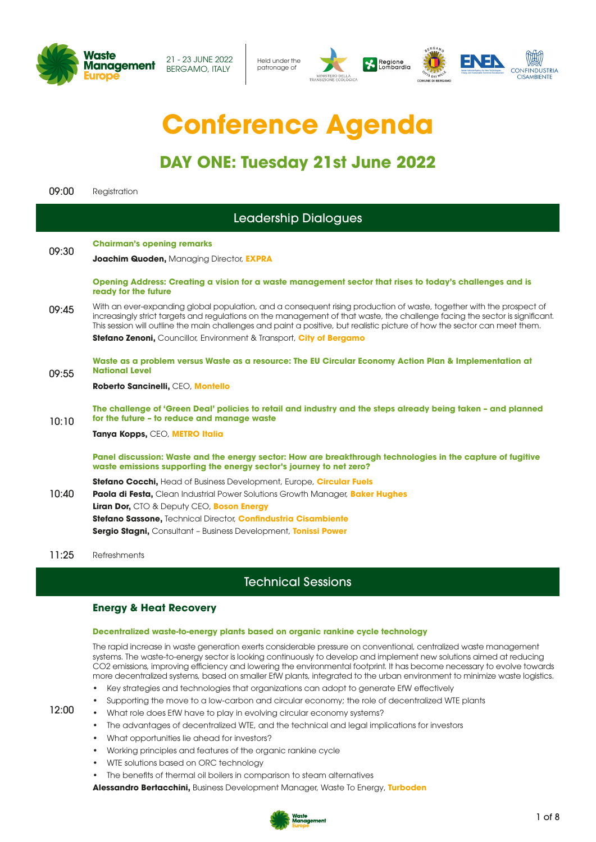

Held under the patronage of



# **Conference Agenda**

# **DAY ONE: Tuesday 21st June 2022**

| 09:00        | Registration                                                                                                                                                                                                                                                                                                                                                                       |
|--------------|------------------------------------------------------------------------------------------------------------------------------------------------------------------------------------------------------------------------------------------------------------------------------------------------------------------------------------------------------------------------------------|
|              | Leadership Dialogues                                                                                                                                                                                                                                                                                                                                                               |
| 09:30        | <b>Chairman's opening remarks</b><br><b>Joachim Quoden, Managing Director, EXPRA</b>                                                                                                                                                                                                                                                                                               |
|              | Opening Address: Creating a vision for a waste management sector that rises to today's challenges and is<br>ready for the future                                                                                                                                                                                                                                                   |
| 09:45        | With an ever-expanding global population, and a consequent rising production of waste, together with the prospect of<br>increasingly strict targets and regulations on the management of that waste, the challenge facing the sector is significant.<br>This session will outline the main challenges and paint a positive, but realistic picture of how the sector can meet them. |
|              | Stefano Zenoni, Councillor, Environment & Transport, City of Bergamo                                                                                                                                                                                                                                                                                                               |
| 09:55        | Waste as a problem versus Waste as a resource: The EU Circular Economy Action Plan & Implementation at<br><b>National Level</b>                                                                                                                                                                                                                                                    |
|              | Roberto Sancinelli, CEO, Montello                                                                                                                                                                                                                                                                                                                                                  |
| 10:10        | The challenge of 'Green Deal' policies to retail and industry and the steps already being taken - and planned<br>for the future - to reduce and manage waste                                                                                                                                                                                                                       |
|              | Tanya Kopps, CEO, METRO Italia                                                                                                                                                                                                                                                                                                                                                     |
|              | Panel discussion: Waste and the energy sector: How are breakthrough technologies in the capture of fugitive<br>waste emissions supporting the energy sector's journey to net zero?                                                                                                                                                                                                 |
| 10:40        | <b>Stefano Cocchi, Head of Business Development, Europe, Circular Fuels</b>                                                                                                                                                                                                                                                                                                        |
|              | Paola di Festa, Clean Industrial Power Solutions Growth Manager, Baker Hughes<br>Liran Dor, CTO & Deputy CEO, Boson Energy                                                                                                                                                                                                                                                         |
|              | Stefano Sassone, Technical Director, Confindustria Cisambiente                                                                                                                                                                                                                                                                                                                     |
|              | <b>Sergio Stagni, Consultant - Business Development, Tonissi Power</b>                                                                                                                                                                                                                                                                                                             |
| <b>11.OF</b> | $\sim$ $\sim$ $\sim$ $\sim$ $\sim$                                                                                                                                                                                                                                                                                                                                                 |

11:25 Refreshments

12:00

# Technical Sessions

### **Energy & Heat Recovery**

#### **Decentralized waste-to-energy plants based on organic rankine cycle technology**

The rapid increase in waste generation exerts considerable pressure on conventional, centralized waste management systems. The waste-to-energy sector is looking continuously to develop and implement new solutions aimed at reducing CO2 emissions, improving efficiency and lowering the environmental footprint. It has become necessary to evolve towards more decentralized systems, based on smaller EfW plants, integrated to the urban environment to minimize waste logistics.

- Key strategies and technologies that organizations can adopt to generate EfW effectively
- Supporting the move to a low-carbon and circular economy; the role of decentralized WTE plants
- What role does EfW have to play in evolving circular economy systems?
- The advantages of decentralized WTE, and the technical and legal implications for investors
- What opportunities lie ahead for investors?
- Working principles and features of the organic rankine cycle
- WTE solutions based on ORC technology
- The benefits of thermal oil boilers in comparison to steam alternatives

**Alessandro Bertacchini,** Business Development Manager, Waste To Energy, **Turboden**

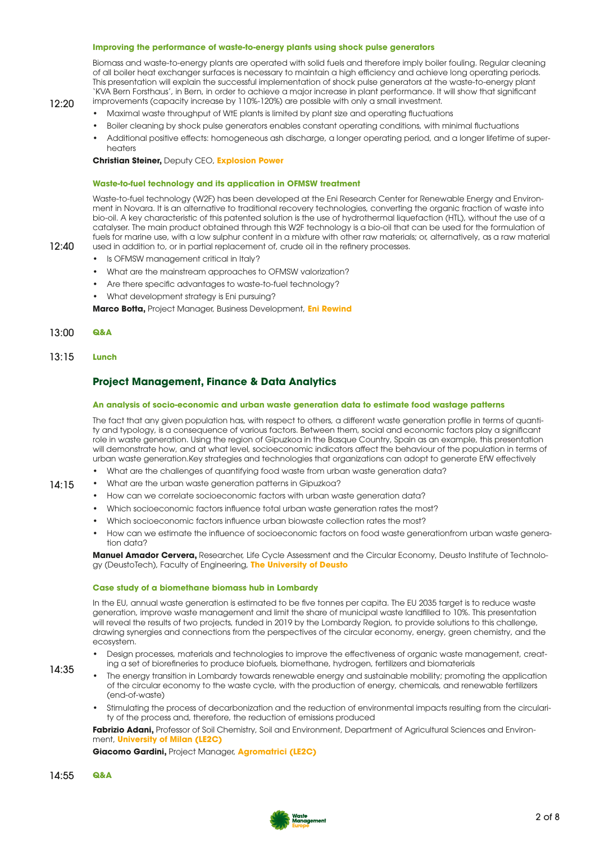#### **Improving the performance of waste-to-energy plants using shock pulse generators**

Biomass and waste-to-energy plants are operated with solid fuels and therefore imply boiler fouling. Regular cleaning of all boiler heat exchanger surfaces is necessary to maintain a high efficiency and achieve long operating periods. This presentation will explain the successful implementation of shock pulse generators at the waste-to-energy plant 'KVA Bern Forsthaus', in Bern, in order to achieve a major increase in plant performance. It will show that significant improvements (capacity increase by 110%-120%) are possible with only a small investment.

### 12:20

12:40

- Maximal waste throughput of WtE plants is limited by plant size and operating fluctuations
- Boiler cleaning by shock pulse generators enables constant operating conditions, with minimal fluctuations
- Additional positive effects: homogeneous ash discharge, a longer operating period, and a longer lifetime of superheaters

#### **Christian Steiner,** Deputy CEO, **Explosion Power**

#### **Waste-to-fuel technology and its application in OFMSW treatment**

Waste-to-fuel technology (W2F) has been developed at the Eni Research Center for Renewable Energy and Environment in Novara. It is an alternative to traditional recovery technologies, converting the organic fraction of waste into bio-oil. A key characteristic of this patented solution is the use of hydrothermal liquefaction (HTL), without the use of a catalyser. The main product obtained through this W2F technology is a bio-oil that can be used for the formulation of fuels for marine use, with a low sulphur content in a mixture with other raw materials; or, alternatively, as a raw material used in addition to, or in partial replacement of, crude oil in the refinery processes.

- Is OFMSW management critical in Italy?
- What are the mainstream approaches to OFMSW valorization?
- Are there specific advantages to waste-to-fuel technology?
- What development strategy is Eni pursuing?

**Marco Botta,** Project Manager, Business Development, **Eni Rewind**

- 13:00 **Q&A**
- 13:15 **Lunch**

#### **Project Management, Finance & Data Analytics**

#### **An analysis of socio-economic and urban waste generation data to estimate food wastage patterns**

The fact that any given population has, with respect to others, a different waste generation profile in terms of quantity and typology, is a consequence of various factors. Between them, social and economic factors play a significant role in waste generation. Using the region of Gipuzkoa in the Basque Country, Spain as an example, this presentation will demonstrate how, and at what level, socioeconomic indicators affect the behaviour of the population in terms of urban waste generation.Key strategies and technologies that organizations can adopt to generate EfW effectively

- What are the challenges of quantifying food waste from urban waste generation data?
- What are the urban waste generation patterns in Gipuzkoa?
	- How can we correlate socioeconomic factors with urban waste generation data?
	- Which socioeconomic factors influence total urban waste generation rates the most?
	- Which socioeconomic factors influence urban biowaste collection rates the most?
	- How can we estimate the influence of socioeconomic factors on food waste generationfrom urban waste generation data?

**Manuel Amador Cervera,** Researcher, Life Cycle Assessment and the Circular Economy, Deusto Institute of Technology (DeustoTech), Faculty of Engineering, **The University of Deusto**

#### **Case study of a biomethane biomass hub in Lombardy**

In the EU, annual waste generation is estimated to be five tonnes per capita. The EU 2035 target is to reduce waste generation, improve waste management and limit the share of municipal waste landfilled to 10%. This presentation will reveal the results of two projects, funded in 2019 by the Lombardy Region, to provide solutions to this challenge, drawing synergies and connections from the perspectives of the circular economy, energy, green chemistry, and the ecosystem.

- Design processes, materials and technologies to improve the effectiveness of organic waste management, creating a set of biorefineries to produce biofuels, biomethane, hydrogen, fertilizers and biomaterials
- 14:35

14:15

- The energy transition in Lombardy towards renewable energy and sustainable mobility; promoting the application of the circular economy to the waste cycle, with the production of energy, chemicals, and renewable fertilizers (end-of-waste)
- Stimulating the process of decarbonization and the reduction of environmental impacts resulting from the circularity of the process and, therefore, the reduction of emissions produced

**Fabrizio Adani,** Professor of Soil Chemistry, Soil and Environment, Department of Agricultural Sciences and Environment, **University of Milan (LE2C)**

**Giacomo Gardini,** Project Manager, **Agromatrici (LE2C)**

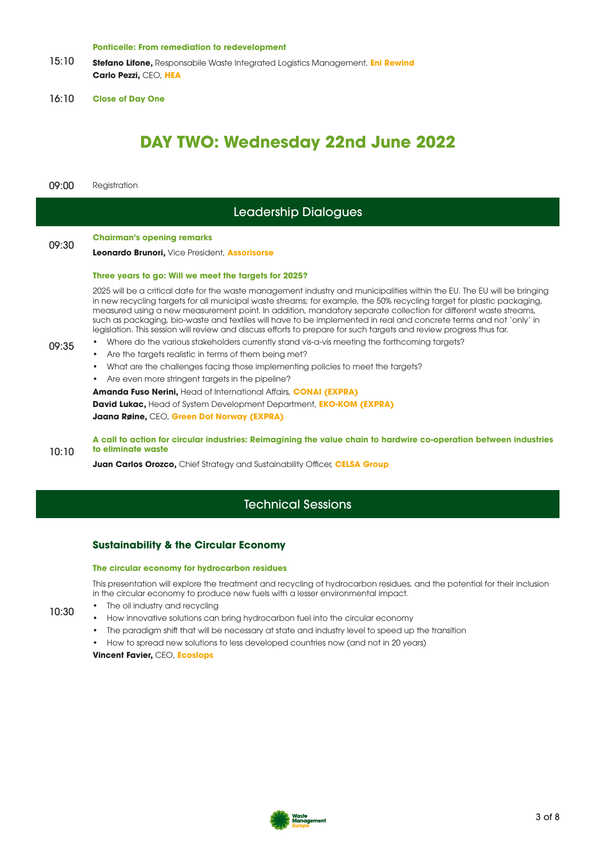#### **Ponticelle: From remediation to redevelopment**

- 15:10 **Stefano Lifone,** Responsabile Waste Integrated Logistics Management, **Eni Rewind Carlo Pezzi,** CEO, **HEA**
- 16:10 **Close of Day One**

# **DAY TWO: Wednesday 22nd June 2022**

09:00 Registration

# Leadership Dialogues

# 09:30 **Chairman's opening remarks**

#### **Leonardo Brunori,** Vice President, **Assorisorse**

#### **Three years to go: Will we meet the targets for 2025?**

2025 will be a critical date for the waste management industry and municipalities within the EU. The EU will be bringing in new recycling targets for all municipal waste streams; for example, the 50% recycling target for plastic packaging, measured using a new measurement point. In addition, mandatory separate collection for different waste streams, such as packaging, bio-waste and textiles will have to be implemented in real and concrete terms and not 'only' in legislation. This session will review and discuss efforts to prepare for such targets and review progress thus far.

- 09:35 • Where do the various stakeholders currently stand vis-a-vis meeting the forthcoming targets?
	- Are the targets realistic in terms of them being met?
	- What are the challenges facing those implementing policies to meet the targets?
	- Are even more stringent targets in the pipeline?

**Amanda Fuso Nerini,** Head of International Affairs, **CONAI (EXPRA)**

**David Lukac,** Head of System Development Department, **EKO-KOM (EXPRA) Jaana Røine,** CEO, **Green Dot Norway (EXPRA)**

10:10 **A call to action for circular industries: Reimagining the value chain to hardwire co-operation between industries to eliminate waste**

**Juan Carlos Orozco,** Chief Strategy and Sustainability Officer, **CELSA Group**

# Technical Sessions

#### **Sustainability & the Circular Economy**

#### **The circular economy for hydrocarbon residues**

This presentation will explore the treatment and recycling of hydrocarbon residues, and the potential for their inclusion in the circular economy to produce new fuels with a lesser environmental impact.

- 10:30 The oil industry and recycling
	- How innovative solutions can bring hydrocarbon fuel into the circular economy
		- The paradigm shift that will be necessary at state and industry level to speed up the transition
	- How to spread new solutions to less developed countries now (and not in 20 years)

**Vincent Favier,** CEO, **Ecoslops**

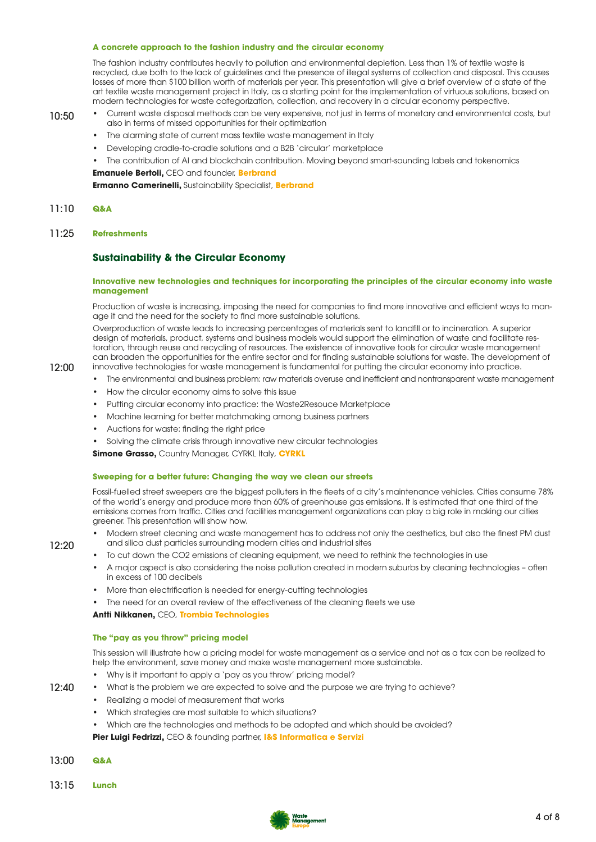#### **A concrete approach to the fashion industry and the circular economy**

The fashion industry contributes heavily to pollution and environmental depletion. Less than 1% of textile waste is recycled, due both to the lack of guidelines and the presence of illegal systems of collection and disposal. This causes losses of more than \$100 billion worth of materials per year. This presentation will give a brief overview of a state of the art textile waste management project in Italy, as a starting point for the implementation of virtuous solutions, based on modern technologies for waste categorization, collection, and recovery in a circular economy perspective.

#### 10:50 • Current waste disposal methods can be very expensive, not just in terms of monetary and environmental costs, but

- also in terms of missed opportunities for their optimization
- The alarming state of current mass textile waste management in Italy
- Developing cradle-to-cradle solutions and a B2B 'circular' marketplace
- The contribution of AI and blockchain contribution. Moving beyond smart-sounding labels and tokenomics

**Emanuele Bertoli,** CEO and founder, **Berbrand**

**Ermanno Camerinelli,** Sustainability Specialist, **Berbrand**

#### 11:10 **Q&A**

12:00

12:20

12:40

11:25 **Refreshments**

#### **Sustainability & the Circular Economy**

#### **Innovative new technologies and techniques for incorporating the principles of the circular economy into waste management**

Production of waste is increasing, imposing the need for companies to find more innovative and efficient ways to manage it and the need for the society to find more sustainable solutions.

Overproduction of waste leads to increasing percentages of materials sent to landfill or to incineration. A superior design of materials, product, systems and business models would support the elimination of waste and facilitate restoration, through reuse and recycling of resources. The existence of innovative tools for circular waste management can broaden the opportunities for the entire sector and for finding sustainable solutions for waste. The development of innovative technologies for waste management is fundamental for putting the circular economy into practice.

- The environmental and business problem: raw materials overuse and inefficient and nontransparent waste management
- How the circular economy aims to solve this issue
- Putting circular economy into practice: the Waste2Resouce Marketplace
- Machine learning for better matchmaking among business partners
- Auctions for waste: finding the right price
- Solving the climate crisis through innovative new circular technologies

**Simone Grasso, Country Manager, CYRKL Italy, CYRKL** 

#### **Sweeping for a better future: Changing the way we clean our streets**

Fossil-fuelled street sweepers are the biggest polluters in the fleets of a city's maintenance vehicles. Cities consume 78% of the world's energy and produce more than 60% of greenhouse gas emissions. It is estimated that one third of the emissions comes from traffic. Cities and facilities management organizations can play a big role in making our cities greener. This presentation will show how.

- Modern street cleaning and waste management has to address not only the aesthetics, but also the finest PM dust and silica dust particles surrounding modern cities and industrial sites
- To cut down the CO2 emissions of cleaning equipment, we need to rethink the technologies in use
- A major aspect is also considering the noise pollution created in modern suburbs by cleaning technologies often in excess of 100 decibels
- More than electrification is needed for energy-cutting technologies
- The need for an overall review of the effectiveness of the cleaning fleets we use

**Antti Nikkanen,** CEO, **Trombia Technologies**

#### **The "pay as you throw" pricing model**

This session will illustrate how a pricing model for waste management as a service and not as a tax can be realized to help the environment, save money and make waste management more sustainable.

- Why is it important to apply a 'pay as you throw' pricing model?
- What is the problem we are expected to solve and the purpose we are trying to achieve?
	- Realizing a model of measurement that works
	- Which strategies are most suitable to which situations?
	- Which are the technologies and methods to be adopted and which should be avoided?

**Pier Luigi Fedrizzi,** CEO & founding partner, **I&S Informatica e Servizi**

- 13:00 **Q&A**
- 13:15 **Lunch**

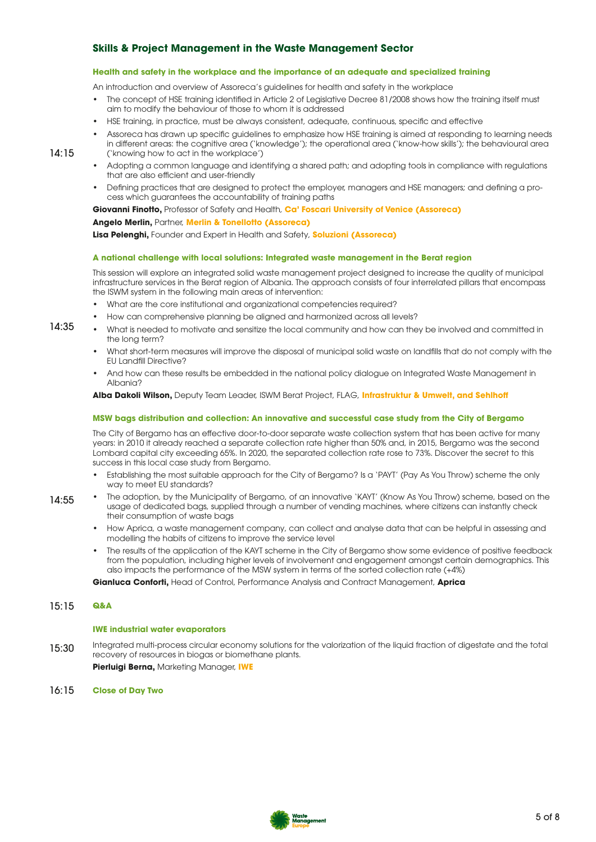## **Skills & Project Management in the Waste Management Sector**

#### **Health and safety in the workplace and the importance of an adequate and specialized training**

An introduction and overview of Assoreca's guidelines for health and safety in the workplace

- The concept of HSE training identified in Article 2 of Legislative Decree 81/2008 shows how the training itself must aim to modify the behaviour of those to whom it is addressed
- HSE training, in practice, must be always consistent, adequate, continuous, specific and effective
- Assoreca has drawn up specific guidelines to emphasize how HSE training is aimed at responding to learning needs
- in different areas: the cognitive area ('knowledge'); the operational area ('know-how skills'); the behavioural area ('knowing how to act in the workplace')
- Adopting a common language and identifying a shared path; and adopting tools in compliance with regulations that are also efficient and user-friendly
- Defining practices that are designed to protect the employer, managers and HSE managers; and defining a process which guarantees the accountability of training paths

**Giovanni Finotto,** Professor of Safety and Health, **Ca' Foscari University of Venice (Assoreca)**

**Angelo Merlin,** Partner, **Merlin & Tonellotto (Assoreca)**

**Lisa Pelenghi,** Founder and Expert in Health and Safety, **Soluzioni (Assoreca)**

#### **A national challenge with local solutions: Integrated waste management in the Berat region**

This session will explore an integrated solid waste management project designed to increase the quality of municipal infrastructure services in the Berat region of Albania. The approach consists of four interrelated pillars that encompass the ISWM system in the following main areas of intervention:

- What are the core institutional and organizational competencies required?
- How can comprehensive planning be aligned and harmonized across all levels?
- What is needed to motivate and sensitize the local community and how can they be involved and committed in the long term?
- What short-term measures will improve the disposal of municipal solid waste on landfills that do not comply with the EU Landfill Directive?
- And how can these results be embedded in the national policy dialogue on Integrated Waste Management in Albania?

**Alba Dakoli Wilson,** Deputy Team Leader, ISWM Berat Project, FLAG, **Infrastruktur & Umwelt, and Sehlhoff**

#### **MSW bags distribution and collection: An innovative and successful case study from the City of Bergamo**

The City of Bergamo has an effective door-to-door separate waste collection system that has been active for many years: in 2010 it already reached a separate collection rate higher than 50% and, in 2015, Bergamo was the second Lombard capital city exceeding 65%. In 2020, the separated collection rate rose to 73%. Discover the secret to this success in this local case study from Bergamo.

- Establishing the most suitable approach for the City of Bergamo? Is a 'PAYT' (Pay As You Throw) scheme the only way to meet EU standards?
- 14:55 • The adoption, by the Municipality of Bergamo, of an innovative 'KAYT' (Know As You Throw) scheme, based on the usage of dedicated bags, supplied through a number of vending machines, where citizens can instantly check their consumption of waste bags
	- How Aprica, a waste management company, can collect and analyse data that can be helpful in assessing and modelling the habits of citizens to improve the service level
	- The results of the application of the KAYT scheme in the City of Bergamo show some evidence of positive feedback from the population, including higher levels of involvement and engagement amongst certain demographics. This also impacts the performance of the MSW system in terms of the sorted collection rate (+4%)

**Gianluca Conforti,** Head of Control, Performance Analysis and Contract Management, **Aprica**

#### 15:15 **Q&A**

 $14.15$ 

14:35

#### **IWE industrial water evaporators**

15:30 Integrated multi-process circular economy solutions for the valorization of the liquid fraction of digestate and the total recovery of resources in biogas or biomethane plants.

**Pierluigi Berna,** Marketing Manager, **IWE**

16:15 **Close of Day Two**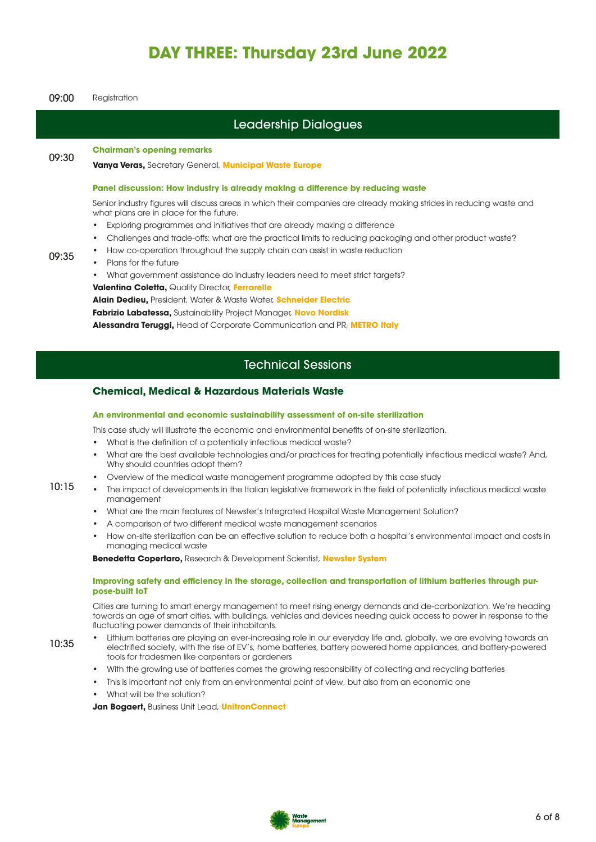# **DAY THREE: Thursday 23rd June 2022**

| 09:00                       | Registration                                                                                                                                                                                                                                                                                                                                                                                                                                                                                                                                                                                                                                                                                                                                                                                                                                                                                                                                                                                                                                                                                                                         |  |
|-----------------------------|--------------------------------------------------------------------------------------------------------------------------------------------------------------------------------------------------------------------------------------------------------------------------------------------------------------------------------------------------------------------------------------------------------------------------------------------------------------------------------------------------------------------------------------------------------------------------------------------------------------------------------------------------------------------------------------------------------------------------------------------------------------------------------------------------------------------------------------------------------------------------------------------------------------------------------------------------------------------------------------------------------------------------------------------------------------------------------------------------------------------------------------|--|
| <b>Leadership Dialogues</b> |                                                                                                                                                                                                                                                                                                                                                                                                                                                                                                                                                                                                                                                                                                                                                                                                                                                                                                                                                                                                                                                                                                                                      |  |
| 09:30                       | <b>Chairman's opening remarks</b><br>Vanya Veras, Secretary General, Municipal Waste Europe                                                                                                                                                                                                                                                                                                                                                                                                                                                                                                                                                                                                                                                                                                                                                                                                                                                                                                                                                                                                                                          |  |
| 09:35                       | Panel discussion: How industry is already making a difference by reducing waste<br>Senior industry figures will discuss areas in which their companies are already making strides in reducing waste and<br>what plans are in place for the future.<br>Exploring programmes and initiatives that are already making a difference<br>$\bullet$<br>Challenges and trade-offs: what are the practical limits to reducing packaging and other product waste?<br>How co-operation throughout the supply chain can assist in waste reduction<br>Plans for the future<br>$\bullet$<br>What government assistance do industry leaders need to meet strict targets?<br><b>Valentina Coletta, Quality Director, Ferrarelle</b><br>Alain Dedieu, President, Water & Waste Water, Schneider Electric<br>Fabrizio Labatessa, Sustainability Project Manager, Novo Nordisk<br>Alessandra Teruggi, Head of Corporate Communication and PR, METRO Italy                                                                                                                                                                                               |  |
| <b>Technical Sessions</b>   |                                                                                                                                                                                                                                                                                                                                                                                                                                                                                                                                                                                                                                                                                                                                                                                                                                                                                                                                                                                                                                                                                                                                      |  |
| 10:15                       | <b>Chemical, Medical &amp; Hazardous Materials Waste</b><br>An environmental and economic sustainability assessment of on-site sterilization<br>This case study will illustrate the economic and environmental benefits of on-site sterilization.<br>What is the definition of a potentially infectious medical waste?<br>$\bullet$<br>What are the best available technologies and/or practices for treating potentially infectious medical waste? And,<br>$\bullet$<br>Why should countries adopt them?<br>Overview of the medical waste management programme adopted by this case study<br>The impact of developments in the Italian legislative framework in the field of potentially infectious medical waste<br>management<br>What are the main features of Newster's Integrated Hospital Waste Management Solution?<br>A comparison of two different medical waste management scenarios<br>How on-site sterilization can be an effective solution to reduce both a hospital's environmental impact and costs in<br>managing medical waste<br><b>Benedetta Copertaro, Research &amp; Development Scientist, Newster System</b> |  |
| 10:35                       | Improving safety and efficiency in the storage, collection and transportation of lithium batteries through pur-<br>pose-built loT<br>Cities are turning to smart energy management to meet rising energy demands and de-carbonization. We're heading<br>towards an age of smart cities, with buildings, vehicles and devices needing quick access to power in response to the<br>fluctuating power demands of their inhabitants.<br>Lithium batteries are playing an ever-increasing role in our everyday life and, globally, we are evolving towards an<br>electrified society, with the rise of EV's, home batteries, battery powered home appliances, and battery-powered<br>tools for tradesmen like carpenters or gardeners                                                                                                                                                                                                                                                                                                                                                                                                     |  |

- With the growing use of batteries comes the growing responsibility of collecting and recycling batteries
- This is important not only from an environmental point of view, but also from an economic one
- What will be the solution?

**Jan Bogaert,** Business Unit Lead, **UnitronConnect**

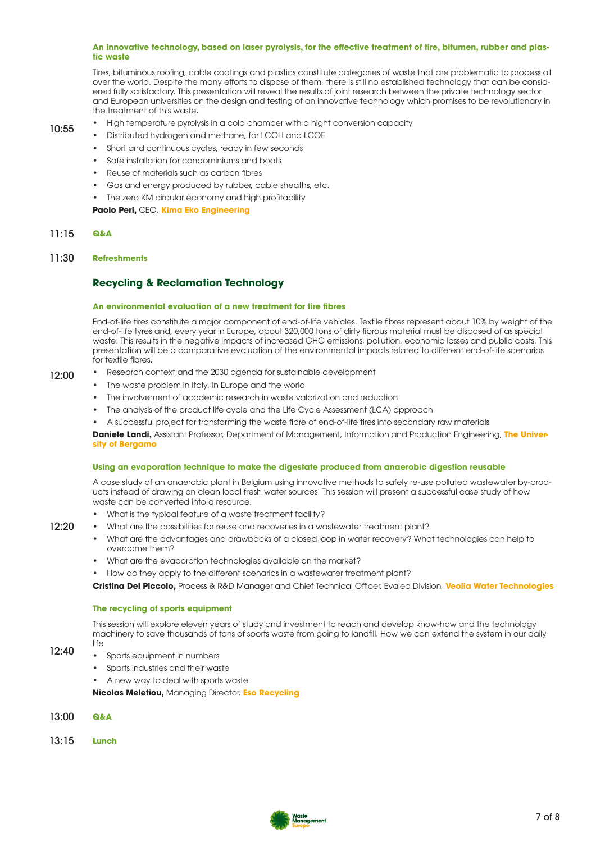#### **An innovative technology, based on laser pyrolysis, for the effective treatment of tire, bitumen, rubber and plastic waste**

Tires, bituminous roofing, cable coatings and plastics constitute categories of waste that are problematic to process all over the world. Despite the many efforts to dispose of them, there is still no established technology that can be considered fully satisfactory. This presentation will reveal the results of joint research between the private technology sector and European universities on the design and testing of an innovative technology which promises to be revolutionary in the treatment of this waste.

- 10:55
- High temperature pyrolysis in a cold chamber with a hight conversion capacity
	- Distributed hydrogen and methane, for LCOH and LCOE
	- Short and continuous cycles, ready in few seconds
	- Safe installation for condominiums and boats
	- Reuse of materials such as carbon fibres
	- Gas and energy produced by rubber, cable sheaths, etc.
	- The zero KM circular economy and high profitability

**Paolo Peri,** CEO, **Kima Eko Engineering**

#### 11:15 **Q&A**

#### 11:30 **Refreshments**

#### **Recycling & Reclamation Technology**

#### **An environmental evaluation of a new treatment for tire fibres**

End-of-life tires constitute a major component of end-of-life vehicles. Textile fibres represent about 10% by weight of the end-of-life tyres and, every year in Europe, about 320,000 tons of dirty fibrous material must be disposed of as special waste. This results in the negative impacts of increased GHG emissions, pollution, economic losses and public costs. This presentation will be a comparative evaluation of the environmental impacts related to different end-of-life scenarios for textile fibres.

#### 12:00

- Research context and the 2030 agenda for sustainable development
- The waste problem in Italy, in Europe and the world
- The involvement of academic research in waste valorization and reduction
- The analysis of the product life cycle and the Life Cycle Assessment (LCA) approach
- A successful project for transforming the waste fibre of end-of-life tires into secondary raw materials

**Daniele Landi,** Assistant Professor, Department of Management, Information and Production Engineering, **The University of Bergamo**

#### **Using an evaporation technique to make the digestate produced from anaerobic digestion reusable**

A case study of an anaerobic plant in Belgium using innovative methods to safely re-use polluted wastewater by-products instead of drawing on clean local fresh water sources. This session will present a successful case study of how waste can be converted into a resource.

- What is the typical feature of a waste treatment facility?
- What are the possibilities for reuse and recoveries in a wastewater treatment plant?
- What are the advantages and drawbacks of a closed loop in water recovery? What technologies can help to overcome them?
- What are the evaporation technologies available on the market?
- How do they apply to the different scenarios in a wastewater treatment plant?

**Cristina Del Piccolo,** Process & R&D Manager and Chief Technical Officer, Evaled Division, **Veolia Water Technologies**

#### **The recycling of sports equipment**

This session will explore eleven years of study and investment to reach and develop know-how and the technology machinery to save thousands of tons of sports waste from going to landfill. How we can extend the system in our daily  $l$ ife

12:40

12:20

- Sports equipment in numbers
- Sports industries and their waste
- A new way to deal with sports waste

**Nicolas Meletiou,** Managing Director, **Eso Recycling**

- 13:00 **Q&A**
- 13:15 **Lunch**